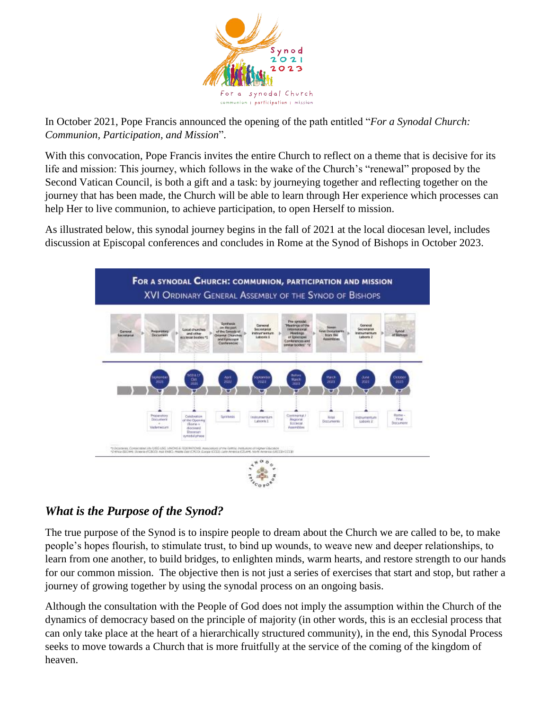

In October 2021, Pope Francis announced the opening of the path entitled "*For a Synodal Church: Communion, Participation, and Mission*".

With this convocation, Pope Francis invites the entire Church to reflect on a theme that is decisive for its life and mission: This journey, which follows in the wake of the Church's "renewal" proposed by the Second Vatican Council, is both a gift and a task: by journeying together and reflecting together on the journey that has been made, the Church will be able to learn through Her experience which processes can help Her to live communion, to achieve participation, to open Herself to mission.

As illustrated below, this synodal journey begins in the fall of 2021 at the local diocesan level, includes discussion at Episcopal conferences and concludes in Rome at the Synod of Bishops in October 2023.



#### *What is the Purpose of the Synod?*

The true purpose of the Synod is to inspire people to dream about the Church we are called to be, to make people's hopes flourish, to stimulate trust, to bind up wounds, to weave new and deeper relationships, to learn from one another, to build bridges, to enlighten minds, warm hearts, and restore strength to our hands for our common mission. The objective then is not just a series of exercises that start and stop, but rather a journey of growing together by using the synodal process on an ongoing basis.

Although the consultation with the People of God does not imply the assumption within the Church of the dynamics of democracy based on the principle of majority (in other words, this is an ecclesial process that can only take place at the heart of a hierarchically structured community), in the end, this Synodal Process seeks to move towards a Church that is more fruitfully at the service of the coming of the kingdom of heaven.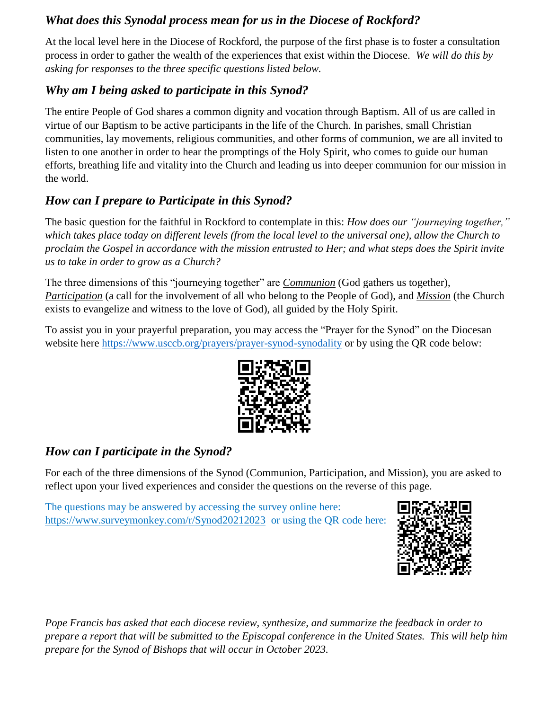#### *What does this Synodal process mean for us in the Diocese of Rockford?*

At the local level here in the Diocese of Rockford, the purpose of the first phase is to foster a consultation process in order to gather the wealth of the experiences that exist within the Diocese. *We will do this by asking for responses to the three specific questions listed below.*

# *Why am I being asked to participate in this Synod?*

The entire People of God shares a common dignity and vocation through Baptism. All of us are called in virtue of our Baptism to be active participants in the life of the Church. In parishes, small Christian communities, lay movements, religious communities, and other forms of communion, we are all invited to listen to one another in order to hear the promptings of the Holy Spirit, who comes to guide our human efforts, breathing life and vitality into the Church and leading us into deeper communion for our mission in the world.

# *How can I prepare to Participate in this Synod?*

The basic question for the faithful in Rockford to contemplate in this: *How does our "journeying together," which takes place today on different levels (from the local level to the universal one), allow the Church to proclaim the Gospel in accordance with the mission entrusted to Her; and what steps does the Spirit invite us to take in order to grow as a Church?*

The three dimensions of this "journeying together" are *Communion* (God gathers us together), *Participation* (a call for the involvement of all who belong to the People of God), and *Mission* (the Church exists to evangelize and witness to the love of God), all guided by the Holy Spirit.

To assist you in your prayerful preparation, you may access the "Prayer for the Synod" on the Diocesan website here<https://www.usccb.org/prayers/prayer-synod-synodality> or by using the QR code below:



# *How can I participate in the Synod?*

For each of the three dimensions of the Synod (Communion, Participation, and Mission), you are asked to reflect upon your lived experiences and consider the questions on the reverse of this page.

The questions may be answered by accessing the survey online here: <https://www.surveymonkey.com/r/Synod20212023>or using the QR code here:



*Pope Francis has asked that each diocese review, synthesize, and summarize the feedback in order to prepare a report that will be submitted to the Episcopal conference in the United States. This will help him prepare for the Synod of Bishops that will occur in October 2023.*